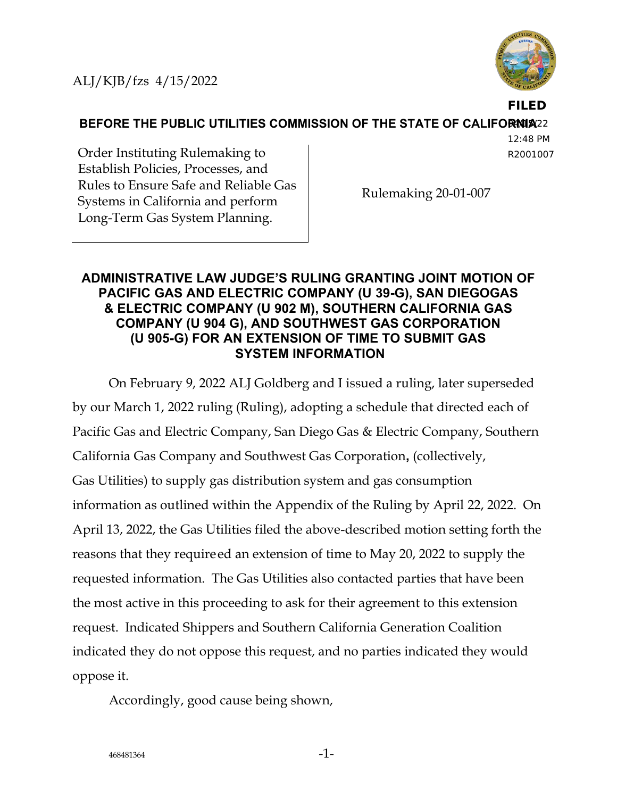ALJ/KJB/fzs 4/15/2022



**FILED**

**BEFORE THE PUBLIC UTILITIES COMMISSION OF THE STATE OF CALIFORNIA22** 

12:48 PM R2001007

Order Instituting Rulemaking to Establish Policies, Processes, and Rules to Ensure Safe and Reliable Gas Systems in California and perform Long-Term Gas System Planning.

Rulemaking 20-01-007

## **ADMINISTRATIVE LAW JUDGE'S RULING GRANTING JOINT MOTION OF PACIFIC GAS AND ELECTRIC COMPANY (U 39-G), SAN DIEGOGAS & ELECTRIC COMPANY (U 902 M), SOUTHERN CALIFORNIA GAS COMPANY (U 904 G), AND SOUTHWEST GAS CORPORATION (U 905-G) FOR AN EXTENSION OF TIME TO SUBMIT GAS SYSTEM INFORMATION**

On February 9, 2022 ALJ Goldberg and I issued a ruling, later superseded by our March 1, 2022 ruling (Ruling), adopting a schedule that directed each of Pacific Gas and Electric Company, San Diego Gas & Electric Company, Southern California Gas Company and Southwest Gas Corporation**,** (collectively, Gas Utilities) to supply gas distribution system and gas consumption information as outlined within the Appendix of the Ruling by April 22, 2022. On April 13, 2022, the Gas Utilities filed the above-described motion setting forth the reasons that they requireed an extension of time to May 20, 2022 to supply the requested information. The Gas Utilities also contacted parties that have been the most active in this proceeding to ask for their agreement to this extension request. Indicated Shippers and Southern California Generation Coalition indicated they do not oppose this request, and no parties indicated they would oppose it.

Accordingly, good cause being shown,